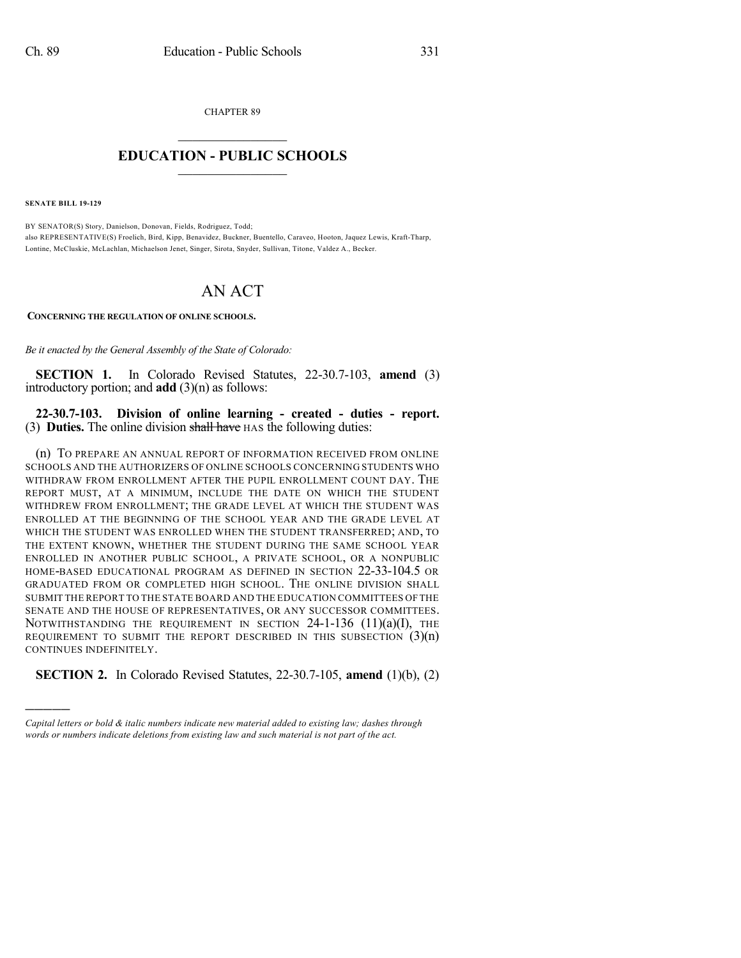CHAPTER 89

## $\overline{\phantom{a}}$  . The set of the set of the set of the set of the set of the set of the set of the set of the set of the set of the set of the set of the set of the set of the set of the set of the set of the set of the set o **EDUCATION - PUBLIC SCHOOLS**  $\_$   $\_$   $\_$   $\_$   $\_$   $\_$   $\_$   $\_$   $\_$

**SENATE BILL 19-129**

)))))

BY SENATOR(S) Story, Danielson, Donovan, Fields, Rodriguez, Todd; also REPRESENTATIVE(S) Froelich, Bird, Kipp, Benavidez, Buckner, Buentello, Caraveo, Hooton, Jaquez Lewis, Kraft-Tharp, Lontine, McCluskie, McLachlan, Michaelson Jenet, Singer, Sirota, Snyder, Sullivan, Titone, Valdez A., Becker.

## AN ACT

**CONCERNING THE REGULATION OF ONLINE SCHOOLS.**

*Be it enacted by the General Assembly of the State of Colorado:*

**SECTION 1.** In Colorado Revised Statutes, 22-30.7-103, **amend** (3) introductory portion; and **add** (3)(n) as follows:

**22-30.7-103. Division of online learning - created - duties - report.** (3) **Duties.** The online division shall have HAS the following duties:

(n) TO PREPARE AN ANNUAL REPORT OF INFORMATION RECEIVED FROM ONLINE SCHOOLS AND THE AUTHORIZERS OF ONLINE SCHOOLS CONCERNING STUDENTS WHO WITHDRAW FROM ENROLLMENT AFTER THE PUPIL ENROLLMENT COUNT DAY. THE REPORT MUST, AT A MINIMUM, INCLUDE THE DATE ON WHICH THE STUDENT WITHDREW FROM ENROLLMENT; THE GRADE LEVEL AT WHICH THE STUDENT WAS ENROLLED AT THE BEGINNING OF THE SCHOOL YEAR AND THE GRADE LEVEL AT WHICH THE STUDENT WAS ENROLLED WHEN THE STUDENT TRANSFERRED; AND, TO THE EXTENT KNOWN, WHETHER THE STUDENT DURING THE SAME SCHOOL YEAR ENROLLED IN ANOTHER PUBLIC SCHOOL, A PRIVATE SCHOOL, OR A NONPUBLIC HOME-BASED EDUCATIONAL PROGRAM AS DEFINED IN SECTION 22-33-104.5 OR GRADUATED FROM OR COMPLETED HIGH SCHOOL. THE ONLINE DIVISION SHALL SUBMIT THE REPORT TO THE STATE BOARD AND THE EDUCATION COMMITTEES OF THE SENATE AND THE HOUSE OF REPRESENTATIVES, OR ANY SUCCESSOR COMMITTEES. NOTWITHSTANDING THE REQUIREMENT IN SECTION  $24$ -1-136 (11)(a)(I), THE REQUIREMENT TO SUBMIT THE REPORT DESCRIBED IN THIS SUBSECTION  $(3)(n)$ CONTINUES INDEFINITELY.

**SECTION 2.** In Colorado Revised Statutes, 22-30.7-105, **amend** (1)(b), (2)

*Capital letters or bold & italic numbers indicate new material added to existing law; dashes through words or numbers indicate deletions from existing law and such material is not part of the act.*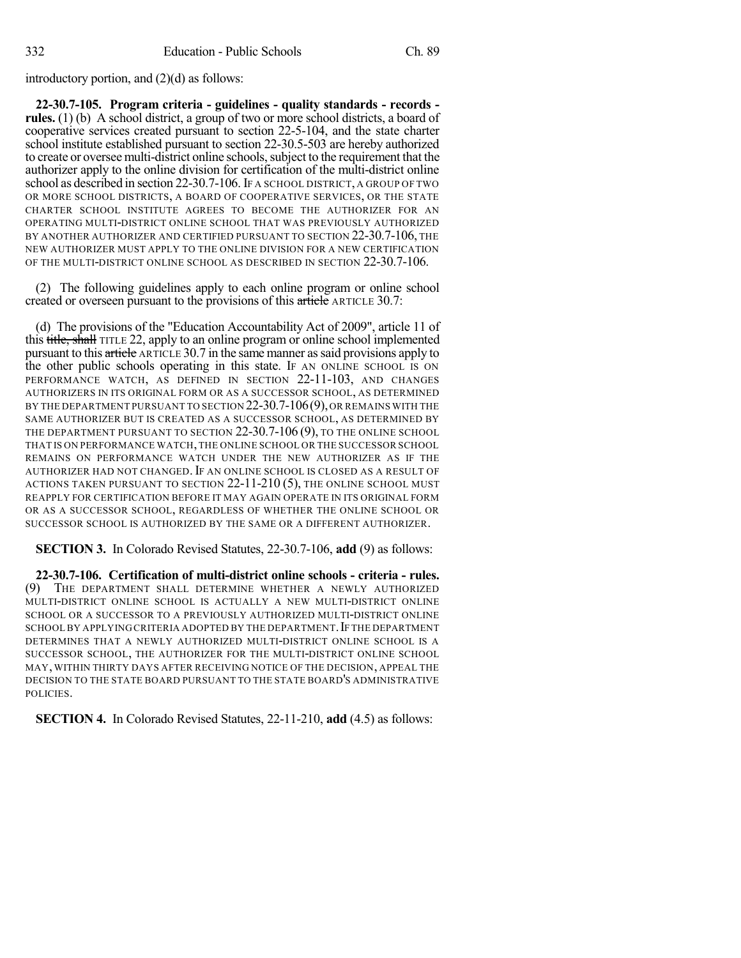introductory portion, and (2)(d) as follows:

**22-30.7-105. Program criteria - guidelines - quality standards - records rules.** (1) (b) A school district, a group of two or more school districts, a board of cooperative services created pursuant to section 22-5-104, and the state charter school institute established pursuant to section 22-30.5-503 are hereby authorized to create or oversee multi-district online schools, subject to the requirement that the authorizer apply to the online division for certification of the multi-district online school as described in section 22-30.7-106. IF A SCHOOL DISTRICT, A GROUP OF TWO OR MORE SCHOOL DISTRICTS, A BOARD OF COOPERATIVE SERVICES, OR THE STATE CHARTER SCHOOL INSTITUTE AGREES TO BECOME THE AUTHORIZER FOR AN OPERATING MULTI-DISTRICT ONLINE SCHOOL THAT WAS PREVIOUSLY AUTHORIZED BY ANOTHER AUTHORIZER AND CERTIFIED PURSUANT TO SECTION 22-30.7-106, THE NEW AUTHORIZER MUST APPLY TO THE ONLINE DIVISION FOR A NEW CERTIFICATION OF THE MULTI-DISTRICT ONLINE SCHOOL AS DESCRIBED IN SECTION 22-30.7-106.

(2) The following guidelines apply to each online program or online school created or overseen pursuant to the provisions of this article ARTICLE 30.7:

(d) The provisions of the "Education Accountability Act of 2009", article 11 of this title, shall TITLE 22, apply to an online program or online school implemented pursuant to this article ARTICLE 30.7 in the same manner as said provisions apply to the other public schools operating in this state. IF AN ONLINE SCHOOL IS ON PERFORMANCE WATCH, AS DEFINED IN SECTION 22-11-103, AND CHANGES AUTHORIZERS IN ITS ORIGINAL FORM OR AS A SUCCESSOR SCHOOL, AS DETERMINED BY THE DEPARTMENT PURSUANT TO SECTION 22-30.7-106(9), OR REMAINS WITH THE SAME AUTHORIZER BUT IS CREATED AS A SUCCESSOR SCHOOL, AS DETERMINED BY THE DEPARTMENT PURSUANT TO SECTION 22-30.7-106 (9), TO THE ONLINE SCHOOL THAT IS ON PERFORMANCE WATCH,THE ONLINE SCHOOL OR THE SUCCESSOR SCHOOL REMAINS ON PERFORMANCE WATCH UNDER THE NEW AUTHORIZER AS IF THE AUTHORIZER HAD NOT CHANGED. IF AN ONLINE SCHOOL IS CLOSED AS A RESULT OF ACTIONS TAKEN PURSUANT TO SECTION 22-11-210 (5), THE ONLINE SCHOOL MUST REAPPLY FOR CERTIFICATION BEFORE IT MAY AGAIN OPERATE IN ITS ORIGINAL FORM OR AS A SUCCESSOR SCHOOL, REGARDLESS OF WHETHER THE ONLINE SCHOOL OR SUCCESSOR SCHOOL IS AUTHORIZED BY THE SAME OR A DIFFERENT AUTHORIZER.

**SECTION 3.** In Colorado Revised Statutes, 22-30.7-106, **add** (9) as follows:

**22-30.7-106. Certification of multi-district online schools - criteria - rules.** THE DEPARTMENT SHALL DETERMINE WHETHER A NEWLY AUTHORIZED MULTI-DISTRICT ONLINE SCHOOL IS ACTUALLY A NEW MULTI-DISTRICT ONLINE SCHOOL OR A SUCCESSOR TO A PREVIOUSLY AUTHORIZED MULTI-DISTRICT ONLINE SCHOOL BY APPLYING CRITERIA ADOPTED BY THE DEPARTMENT. IF THE DEPARTMENT DETERMINES THAT A NEWLY AUTHORIZED MULTI-DISTRICT ONLINE SCHOOL IS A SUCCESSOR SCHOOL, THE AUTHORIZER FOR THE MULTI-DISTRICT ONLINE SCHOOL MAY, WITHIN THIRTY DAYS AFTER RECEIVING NOTICE OF THE DECISION, APPEAL THE DECISION TO THE STATE BOARD PURSUANT TO THE STATE BOARD'S ADMINISTRATIVE POLICIES.

**SECTION 4.** In Colorado Revised Statutes, 22-11-210, **add** (4.5) as follows: